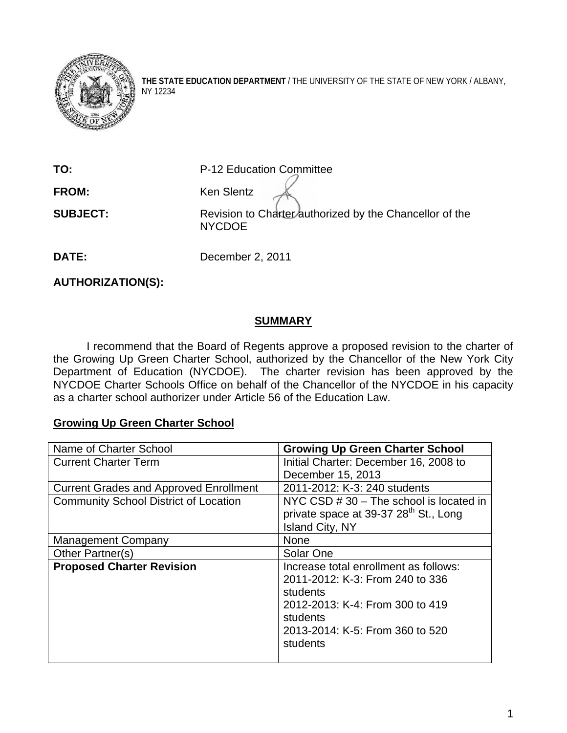

**THE STATE EDUCATION DEPARTMENT** / THE UNIVERSITY OF THE STATE OF NEW YORK / ALBANY, NY 12234

**TO:** P-12 Education Committee

FROM: **Ken** Slentz

**SUBJECT:** Revision to Charter authorized by the Chancellor of the NYCDOE

**DATE:** December 2, 2011

**AUTHORIZATION(S):** 

## **SUMMARY**

 I recommend that the Board of Regents approve a proposed revision to the charter of the Growing Up Green Charter School, authorized by the Chancellor of the New York City Department of Education (NYCDOE). The charter revision has been approved by the NYCDOE Charter Schools Office on behalf of the Chancellor of the NYCDOE in his capacity as a charter school authorizer under Article 56 of the Education Law.

## **Growing Up Green Charter School**

| Name of Charter School                        | <b>Growing Up Green Charter School</b>                                                                                                                                             |
|-----------------------------------------------|------------------------------------------------------------------------------------------------------------------------------------------------------------------------------------|
| <b>Current Charter Term</b>                   | Initial Charter: December 16, 2008 to                                                                                                                                              |
|                                               | December 15, 2013                                                                                                                                                                  |
| <b>Current Grades and Approved Enrollment</b> | 2011-2012: K-3: 240 students                                                                                                                                                       |
| <b>Community School District of Location</b>  | NYC CSD # 30 - The school is located in<br>private space at 39-37 28 <sup>th</sup> St., Long<br>Island City, NY                                                                    |
| <b>Management Company</b>                     | None                                                                                                                                                                               |
| Other Partner(s)                              | Solar One                                                                                                                                                                          |
| <b>Proposed Charter Revision</b>              | Increase total enrollment as follows:<br>2011-2012: K-3: From 240 to 336<br>students<br>2012-2013: K-4: From 300 to 419<br>students<br>2013-2014: K-5: From 360 to 520<br>students |